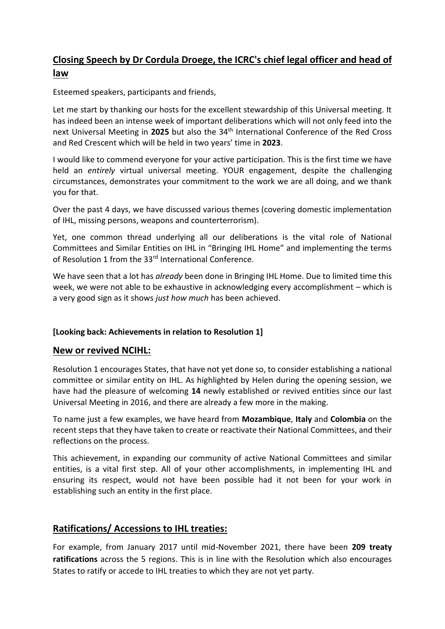# **Closing Speech by Dr Cordula Droege, the ICRC's chief legal officer and head of law**

Esteemed speakers, participants and friends,

Let me start by thanking our hosts for the excellent stewardship of this Universal meeting. It has indeed been an intense week of important deliberations which will not only feed into the next Universal Meeting in **2025** but also the 34th International Conference of the Red Cross and Red Crescent which will be held in two years' time in **2023**.

I would like to commend everyone for your active participation. This is the first time we have held an *entirely* virtual universal meeting. YOUR engagement, despite the challenging circumstances, demonstrates your commitment to the work we are all doing, and we thank you for that.

Over the past 4 days, we have discussed various themes (covering domestic implementation of IHL, missing persons, weapons and counterterrorism).

Yet, one common thread underlying all our deliberations is the vital role of National Committees and Similar Entities on IHL in "Bringing IHL Home" and implementing the terms of Resolution 1 from the 33<sup>rd</sup> International Conference.

We have seen that a lot has *already* been done in Bringing IHL Home. Due to limited time this week, we were not able to be exhaustive in acknowledging every accomplishment – which is a very good sign as it shows *just how much* has been achieved.

#### **[Looking back: Achievements in relation to Resolution 1]**

#### **New or revived NCIHL:**

Resolution 1 encourages States, that have not yet done so, to consider establishing a national committee or similar entity on IHL. As highlighted by Helen during the opening session, we have had the pleasure of welcoming **14** newly established or revived entities since our last Universal Meeting in 2016, and there are already a few more in the making.

To name just a few examples, we have heard from **Mozambique**, **Italy** and **Colombia** on the recent steps that they have taken to create or reactivate their National Committees, and their reflections on the process.

This achievement, in expanding our community of active National Committees and similar entities, is a vital first step. All of your other accomplishments, in implementing IHL and ensuring its respect, would not have been possible had it not been for your work in establishing such an entity in the first place.

### **Ratifications/ Accessions to IHL treaties:**

For example, from January 2017 until mid-November 2021, there have been **209 treaty ratifications** across the 5 regions. This is in line with the Resolution which also encourages States to ratify or accede to IHL treaties to which they are not yet party.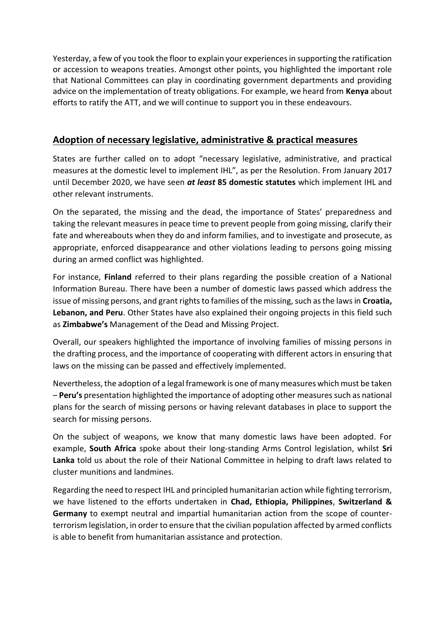Yesterday, a few of you took the floor to explain your experiences in supporting the ratification or accession to weapons treaties. Amongst other points, you highlighted the important role that National Committees can play in coordinating government departments and providing advice on the implementation of treaty obligations. For example, we heard from **Kenya** about efforts to ratify the ATT, and we will continue to support you in these endeavours.

### **Adoption of necessary legislative, administrative & practical measures**

States are further called on to adopt "necessary legislative, administrative, and practical measures at the domestic level to implement IHL", as per the Resolution. From January 2017 until December 2020, we have seen *at least* **85 domestic statutes** which implement IHL and other relevant instruments.

On the separated, the missing and the dead, the importance of States' preparedness and taking the relevant measures in peace time to prevent people from going missing, clarify their fate and whereabouts when they do and inform families, and to investigate and prosecute, as appropriate, enforced disappearance and other violations leading to persons going missing during an armed conflict was highlighted.

For instance, **Finland** referred to their plans regarding the possible creation of a National Information Bureau. There have been a number of domestic laws passed which address the issue of missing persons, and grant rights to families of the missing, such as the laws in **Croatia, Lebanon, and Peru**. Other States have also explained their ongoing projects in this field such as **Zimbabwe's** Management of the Dead and Missing Project.

Overall, our speakers highlighted the importance of involving families of missing persons in the drafting process, and the importance of cooperating with different actors in ensuring that laws on the missing can be passed and effectively implemented.

Nevertheless, the adoption of a legal framework is one of many measures which must be taken – **Peru's** presentation highlighted the importance of adopting other measures such as national plans for the search of missing persons or having relevant databases in place to support the search for missing persons.

On the subject of weapons, we know that many domestic laws have been adopted. For example, **South Africa** spoke about their long-standing Arms Control legislation, whilst **Sri Lanka** told us about the role of their National Committee in helping to draft laws related to cluster munitions and landmines.

Regarding the need to respect IHL and principled humanitarian action while fighting terrorism, we have listened to the efforts undertaken in **Chad, Ethiopia, Philippines**, **Switzerland & Germany** to exempt neutral and impartial humanitarian action from the scope of counterterrorism legislation, in order to ensure that the civilian population affected by armed conflicts is able to benefit from humanitarian assistance and protection.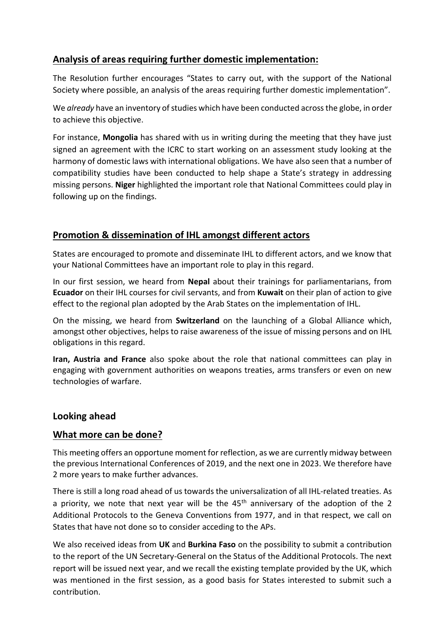# **Analysis of areas requiring further domestic implementation:**

The Resolution further encourages "States to carry out, with the support of the National Society where possible, an analysis of the areas requiring further domestic implementation".

We *already* have an inventory of studies which have been conducted across the globe, in order to achieve this objective.

For instance, **Mongolia** has shared with us in writing during the meeting that they have just signed an agreement with the ICRC to start working on an assessment study looking at the harmony of domestic laws with international obligations. We have also seen that a number of compatibility studies have been conducted to help shape a State's strategy in addressing missing persons. **Niger** highlighted the important role that National Committees could play in following up on the findings.

## **Promotion & dissemination of IHL amongst different actors**

States are encouraged to promote and disseminate IHL to different actors, and we know that your National Committees have an important role to play in this regard.

In our first session, we heard from **Nepal** about their trainings for parliamentarians, from **Ecuador** on their IHL courses for civil servants, and from **Kuwait** on their plan of action to give effect to the regional plan adopted by the Arab States on the implementation of IHL.

On the missing, we heard from **Switzerland** on the launching of a Global Alliance which, amongst other objectives, helps to raise awareness of the issue of missing persons and on IHL obligations in this regard.

**Iran, Austria and France** also spoke about the role that national committees can play in engaging with government authorities on weapons treaties, arms transfers or even on new technologies of warfare.

### **Looking ahead**

### **What more can be done?**

This meeting offers an opportune moment for reflection, as we are currently midway between the previous International Conferences of 2019, and the next one in 2023. We therefore have 2 more years to make further advances.

There is still a long road ahead of us towards the universalization of all IHL-related treaties. As a priority, we note that next year will be the  $45<sup>th</sup>$  anniversary of the adoption of the 2 Additional Protocols to the Geneva Conventions from 1977, and in that respect, we call on States that have not done so to consider acceding to the APs.

We also received ideas from **UK** and **Burkina Faso** on the possibility to submit a contribution to the report of the UN Secretary-General on the Status of the Additional Protocols. The next report will be issued next year, and we recall the existing template provided by the UK, which was mentioned in the first session, as a good basis for States interested to submit such a contribution.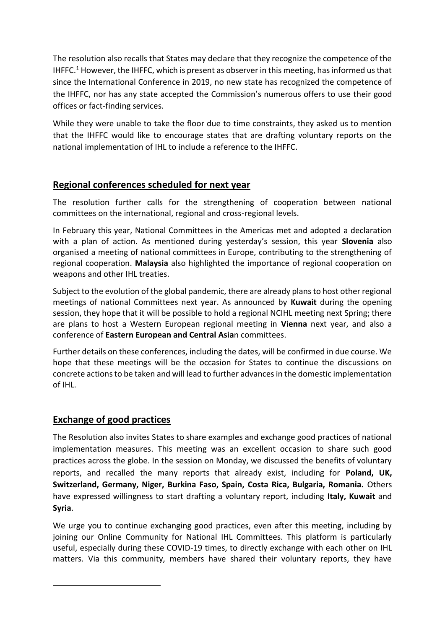The resolution also recalls that States may declare that they recognize the competence of the IHFFC.<sup>1</sup> However, the IHFFC, which is present as observer in this meeting, has informed us that since the International Conference in 2019, no new state has recognized the competence of the IHFFC, nor has any state accepted the Commission's numerous offers to use their good offices or fact-finding services.

While they were unable to take the floor due to time constraints, they asked us to mention that the IHFFC would like to encourage states that are drafting voluntary reports on the national implementation of IHL to include a reference to the IHFFC.

## **Regional conferences scheduled for next year**

The resolution further calls for the strengthening of cooperation between national committees on the international, regional and cross-regional levels.

In February this year, National Committees in the Americas met and adopted a declaration with a plan of action. As mentioned during yesterday's session, this year **Slovenia** also organised a meeting of national committees in Europe, contributing to the strengthening of regional cooperation. **Malaysia** also highlighted the importance of regional cooperation on weapons and other IHL treaties.

Subject to the evolution of the global pandemic, there are already plans to host other regional meetings of national Committees next year. As announced by **Kuwait** during the opening session, they hope that it will be possible to hold a regional NCIHL meeting next Spring; there are plans to host a Western European regional meeting in **Vienna** next year, and also a conference of **Eastern European and Central Asia**n committees.

Further details on these conferences, including the dates, will be confirmed in due course. We hope that these meetings will be the occasion for States to continue the discussions on concrete actions to be taken and will lead to further advances in the domestic implementation of IHL.

## **Exchange of good practices**

The Resolution also invites States to share examples and exchange good practices of national implementation measures. This meeting was an excellent occasion to share such good practices across the globe. In the session on Monday, we discussed the benefits of voluntary reports, and recalled the many reports that already exist, including for **Poland, UK, Switzerland, Germany, Niger, Burkina Faso, Spain, Costa Rica, Bulgaria, Romania.** Others have expressed willingness to start drafting a voluntary report, including **Italy, Kuwait** and **Syria**.

We urge you to continue exchanging good practices, even after this meeting, including by joining our Online Community for National IHL Committees. This platform is particularly useful, especially during these COVID-19 times, to directly exchange with each other on IHL matters. Via this community, members have shared their voluntary reports, they have